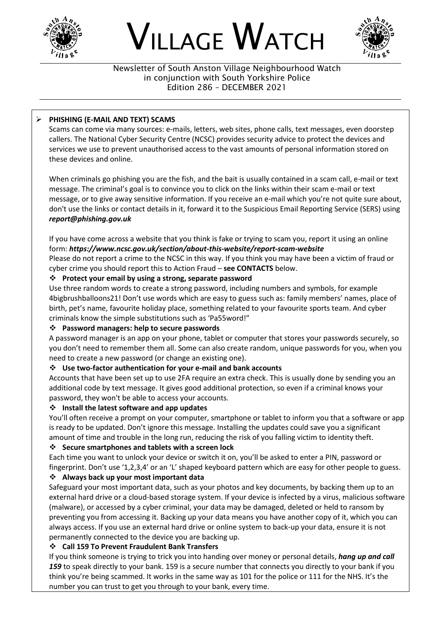





Newsletter of South Anston Village Neighbourhood Watch in conjunction with South Yorkshire Police Edition 286 – DECEMBER 2021

### ➢ **PHISHING (E-MAIL AND TEXT) SCAMS**

Scams can come via many sources: e-mails, letters, web sites, phone calls, text messages, even doorstep callers. The National Cyber Security Centre (NCSC) provides security advice to protect the devices and services we use to prevent unauthorised access to the vast amounts of personal information stored on these devices and online.

When criminals go phishing you are the fish, and the bait is usually contained in a scam call, e-mail or text message. The criminal's goal is to convince you to click on the links within their scam e-mail or text message, or to give away sensitive information. If you receive an e-mail which you're not quite sure about, don't use the links or contact details in it, forward it to the Suspicious Email Reporting Service (SERS) using *report@phishing.gov.uk*

If you have come across a website that you think is fake or trying to scam you, report it using an online form: *https://www.ncsc.gov.uk/section/about-this-website/report-scam-website*

Please do not report a crime to the NCSC in this way. If you think you may have been a victim of fraud or cyber crime you should report this to Action Fraud – **see CONTACTS** below.

#### ❖ **Protect your email by using a strong, separate password**

Use three random words to create a strong password, including numbers and symbols, for example 4bigbrushballoons21! Don't use words which are easy to guess such as: family members' names, place of birth, pet's name, favourite holiday place, something related to your favourite sports team. And cyber criminals know the simple substitutions such as 'Pa55word!"

#### ❖ **Password managers: help to secure passwords**

A password manager is an app on your phone, tablet or computer that stores your passwords securely, so you don't need to remember them all. Some can also create random, unique passwords for you, when you need to create a new password (or change an existing one).

#### ❖ **Use two-factor authentication for your e-mail and bank accounts**

Accounts that have been set up to use 2FA require an extra check. This is usually done by sending you an additional code by text message. It gives good additional protection, so even if a criminal knows your password, they won't be able to access your accounts.

#### ❖ **Install the latest software and app updates**

You'll often receive a prompt on your computer, smartphone or tablet to inform you that a software or app is ready to be updated. Don't ignore this message. Installing the updates could save you a significant amount of time and trouble in the long run, reducing the risk of you falling victim to identity theft.

#### ❖ **Secure smartphones and tablets with a screen lock**

Each time you want to unlock your device or switch it on, you'll be asked to enter a PIN, password or fingerprint. Don't use '1,2,3,4' or an 'L' shaped keyboard pattern which are easy for other people to guess.

# ❖ **Always back up your most important data**

Safeguard your most important data, such as your photos and key documents, by backing them up to an external hard drive or a cloud-based storage system. If your device is infected by a virus, malicious software (malware), or accessed by a cyber criminal, your data may be damaged, deleted or held to ransom by preventing you from accessing it. Backing up your data means you have another copy of it, which you can always access. If you use an external hard drive or online system to back-up your data, ensure it is not permanently connected to the device you are backing up.

# ❖ **Call 159 To Prevent Fraudulent Bank Transfers**

If you think someone is trying to trick you into handing over money or personal details, *hang up and call*  159 to speak directly to your bank. 159 is a secure number that connects you directly to your bank if you think you're being scammed. It works in the same way as 101 for the police or 111 for the NHS. It's the number you can trust to get you through to your bank, every time.